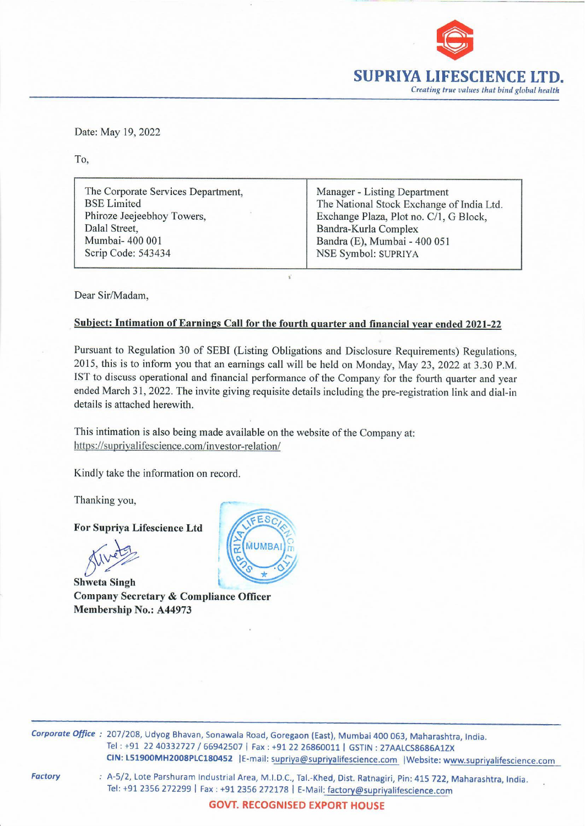

Date: May 19, 2022<br>To, Date: May 19, 2022

To,

*<u>Deterministischen Alexandre</u>* 

The Corporate Services Department, Manager - Listing Department BSE Limited The National Stock Exchange of India Ltd. Phiroze Jeejeebhoy Towers, Exchange Plaza, Plot no. C/1, G Block, Dalal Street, Bandra-Kurla Complex Mumbai- 400 001 Bandra (E), Mumbai - 400 051 Scrip Code: 543434 NSE Symbol: SUPRIYA

Dear Sir/Madam,

## Subject: Intimation of Earnings Call for the fourth quarter and financial year ended 2021-22

Pursuant to Regulation 30 of SEBI (Listing Obligations and Disclosure Requirements) Regulations, 2015, this is to inform you that an earnings call will be held on Monday, May 23, 2022 at 3.30 P.M. IST to discuss operational and financial performance of the Company for the fourth quarter and year ended March 31, 2022. The invite giving requisite details including the pre-registration link and dial-in details is attached herewith. BSE Limited<br>
Phiroze Jeejeebhoy Towers,<br>
Dalal Street,<br>
Mumbai- 400 001<br>
Scrip Code: 543434<br>
Dear Sir/Madam,<br>
Subject: Intimation of Earnings Call for the four<br>
Pursuant to Regulation 30 of SEBI (Listing Oblig<br>
2015, this

This intimation is also being made available on the website of the Company at: https://supriyalifescience.com/investor-relation/

Kindly take the information on record.

Thanking you,

For Supriya Lifescience Ltd

ivets

Shweta Singh t Company Secretary & Compliance Officer Membership No.: A44973



Corporate Office: 207/208, Udyog Bhavan, Sonawala Road, Goregaon (East), Mumbai 400 063, Maharashtra, India. Tel : +91 22 40332727 / 66942507 | Fax : +91 22 26860011 | GSTIN : 27AALCS8686A1ZX CIN: L51900MH2008PLC180452 E-mail: supriya@supriyalifescience.com |Website: www.supriyalifescience.com

**Factory** 

**52** | E-mail: s<br>rial Area, M.I<br>91 2356 272<br>**VT. RECO**G : A-5/2, Lote Parshuram Industrial Area, M.1.D.C., Tal.-Khed, Dist. Ratnagiri, Pin: 415 722, Maharashtra, India. Tel: +91 2356 272299 | Fax : +91 2356 272178 | E-Mail: factory @supriyalifescience.com

GOVT. RECOGNISED EXPORT HOUSE